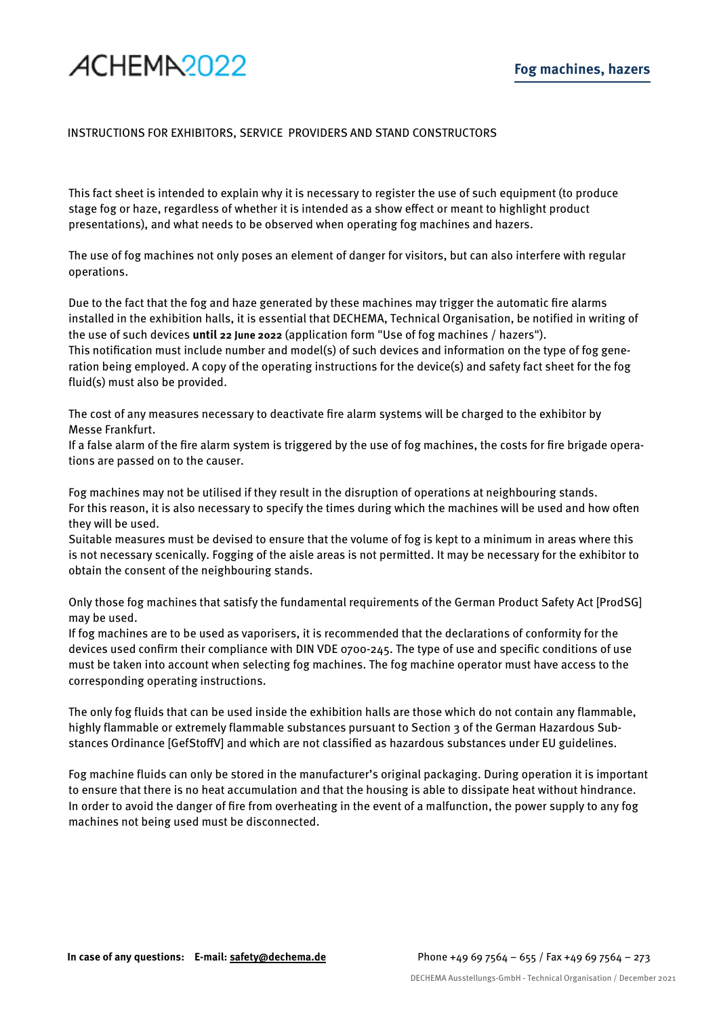## ACHEMA<sub>2022</sub>

## INSTRUCTIONS FOR EXHIBITORS, SERVICE PROVIDERS AND STAND CONSTRUCTORS

This fact sheet is intended to explain why it is necessary to register the use of such equipment (to produce stage fog or haze, regardless of whether it is intended as a show effect or meant to highlight product presentations), and what needs to be observed when operating fog machines and hazers.

The use of fog machines not only poses an element of danger for visitors, but can also interfere with regular operations.

Due to the fact that the fog and haze generated by these machines may trigger the automatic fire alarms installed in the exhibition halls, it is essential that DECHEMA, Technical Organisation, be notified in writing of the use of such devices **until 22 June 2022** (application form "Use of fog machines / hazers"). This notification must include number and model(s) of such devices and information on the type of fog generation being employed. A copy of the operating instructions for the device(s) and safety fact sheet for the fog fluid(s) must also be provided.

The cost of any measures necessary to deactivate fire alarm systems will be charged to the exhibitor by Messe Frankfurt.

If a false alarm of the fire alarm system is triggered by the use of fog machines, the costs for fire brigade operations are passed on to the causer.

Fog machines may not be utilised if they result in the disruption of operations at neighbouring stands. For this reason, it is also necessary to specify the times during which the machines will be used and how often they will be used.

Suitable measures must be devised to ensure that the volume of fog is kept to a minimum in areas where this is not necessary scenically. Fogging of the aisle areas is not permitted. It may be necessary for the exhibitor to obtain the consent of the neighbouring stands.

Only those fog machines that satisfy the fundamental requirements of the German Product Safety Act [ProdSG] may be used.

If fog machines are to be used as vaporisers, it is recommended that the declarations of conformity for the devices used confirm their compliance with DIN VDE 0700-245. The type of use and specific conditions of use must be taken into account when selecting fog machines. The fog machine operator must have access to the corresponding operating instructions.

The only fog fluids that can be used inside the exhibition halls are those which do not contain any flammable, highly flammable or extremely flammable substances pursuant to Section 3 of the German Hazardous Substances Ordinance [GefStoffV] and which are not classified as hazardous substances under EU guidelines.

Fog machine fluids can only be stored in the manufacturer's original packaging. During operation it is important to ensure that there is no heat accumulation and that the housing is able to dissipate heat without hindrance. In order to avoid the danger of fire from overheating in the event of a malfunction, the power supply to any fog machines not being used must be disconnected.